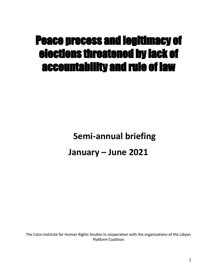# Peace process and legitimacy of elections threatened by lack of accountability and rule of law

**Semi-annual briefing**

# **January – June 2021**

The Cairo Institute for Human Rights Studies in cooperation with the organizations of the Libyan Platform Coalition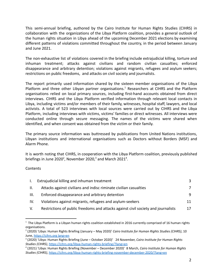This semi-annual briefing, authored by the Cairo Institute for Human Rights Studies (CIHRS) in collaboration with the organizations of the Libya Platform coalition, provides a general outlook of the human rights situation in Libya ahead of the upcoming December 2021 elections by examining different patterns of violations committed throughout the country, in the period between January and June 2021.

The non-exhaustive list of violations covered in the briefing include extrajudicial killing, torture and inhuman treatment; attacks against civilians and random civilian casualties; enforced disappearance and arbitrary detention; violations against migrants, refugees and asylum seekers; restrictions on public freedoms, and attacks on civil society and journalists.

The report primarily used information shared by the sixteen member organisations of the Libya Platform and three other Libyan partner organisations.<sup>1</sup> Researchers at CIHRS and the Platform organisations relied on local primary sources, including first-hand accounts obtained from direct interviews. CIHRS and the Libya Platform verified information through relevant local contacts in Libya, including victims and/or members of their family, witnesses, hospital staff, lawyers, and local activists. A total of 523 interviews with local sources were carried out by CIHRS and the Libya Platform, including interviews with victims, victims' families or direct witnesses. All interviews were conducted online through secure messaging. The names of the victims were shared when identified, and when consent was obtained from the victim or their family.

The primary source information was buttressed by publications from United Nations institutions, Libyan institutions and international organisations such as Doctors without Borders (MSF) and Alarm Phone.

It is worth noting that CIHRS, in cooperation with the Libya Platform coalition, previously published briefings in June 2020<sup>2</sup>, November 2020,<sup>3</sup> and March 2021<sup>4</sup>.

**Contents** 

|      | Extrajudicial killing and inhuman treatment                                       |   |
|------|-----------------------------------------------------------------------------------|---|
| II.  | Attacks against civilians and indisc riminate civilian casualties                 | 7 |
| III. | Enforced disappearance and arbitrary detention                                    |   |
| IV.  | Violations against migrants, refugees and asylum-seekers                          |   |
| V.   | Restrictions of public freedoms and attacks against civil society and journalists |   |

 $1$  The Libya Platform is a Libyan human rights coalition established in 2016 currently comprised of 16 human rights organisations.

<sup>2</sup> (2020) 'Libya: Human Rights Briefing (January – May 2020)' *Cairo Institute for Human Rights Studies (CIHRS)*, 10 June, [https://cihrs.org](https://cihrs.org/%D9%84%D9%8A%D8%A8%D9%8A%D8%A7-%D8%AA%D9%82%D8%B1%D9%8A%D8%B1-%D9%85%D9%88%D8%AC%D8%B2-%D8%B9%D9%86-%D8%A3%D9%88%D8%B6%D8%A7%D8%B9-%D8%AD%D9%82%D9%88%D9%82-%D8%A7%D9%84%D8%A5%D9%86%D8%B3%D8%A7%D9%86/?lang=en) lang=en

<sup>3</sup> (2020) 'Libya: Human Rights Briefing (June – October 2020)' 24 November, *Cairo Institute for Human Rights Studies (CIHRS)*, <https://cihrs.org/libya-human-rights-briefing/?lang=en>

<sup>4</sup> (2021) 'Libya: Human Rights Briefing (November – December 2020)' 8 March, *Cairo Institute for Human Rights Studies (CIHRS)*, <https://cihrs.org/libya-human-rights-briefing-november-december-2020/?lang=en>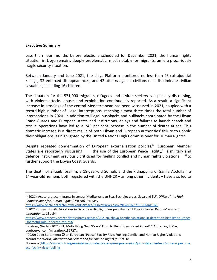#### **Executive Summary**

Less than four months before elections scheduled for December 2021, the human rights situation in Libya remains deeply problematic, most notably for migrants, amid a precariously fragile security situation.

Between January and June 2021, the Libya Platform monitored no less than 25 extrajudicial killings, 33 enforced disappearances, and 42 attacks against civilians or indiscriminate civilian casualties, including 16 children.

The situation for the 571,000 migrants, refugees and asylum-seekers is especially distressing, with violent attacks, abuse, and exploitation continuously reported. As a result, a significant increase in crossings of the central Mediterranean has been witnessed in 2021, coupled with a record-high number of illegal interceptions, reaching almost three times the total number of interceptions in 2020. In addition to illegal pushbacks and pullbacks coordinated by the Libyan Coast Guards and European states and institutions, delays and failures to launch search and rescue operations have led to a 249 per cent increase in the number of deaths at sea. This dramatic increase is a direct result of both Libyan and European authorities' failure to uphold their obligations, as highlighted by the United Nations High Commissioner for Human Rights<sup>5</sup>.

Despite repeated condemnation of European externalisation policies,<sup>6</sup> European Member States are reportedly discussing the use of the European Peace Facility, $^7$  a military and defence instrument previously criticised for fuelling conflict and human rights violations  $\beta$  to further support the Libyan Coast Guards.

The death of Shuaib Ibrahim, a 19-year-old Somali, and the kidnapping of Samia Abdullah, a 14-year-old Yemeni, both registered with the UNHCR – among other incidents – have also led to

[https://www.amnesty.org/en/latest/press-release/2021/07/libya-horrific-violations-in-detention-highlight-europes](https://www.amnesty.org/en/latest/press-release/2021/07/libya-horrific-violations-in-detention-highlight-europes-shameful-role-in-forced-returns/) [-shameful-role-in-forced-returns/](https://www.amnesty.org/en/latest/press-release/2021/07/libya-horrific-violations-in-detention-highlight-europes-shameful-role-in-forced-returns/)

<sup>5</sup> (2021) 'Act to protect migrants in central Mediterranean Sea, Bachelet urges Libya and EU', *Office of the High Commissioner for Human Rights (OHCHR),* 26 May,

<https://www.ohchr.org/EN/NewsEvents/Pages/DisplayNews.aspx?NewsID=27113&LangID=E>

<sup>6</sup> (2021) 'Libya: Horrific Violations in Detention Highlight Europe's Shameful Role in Forced Returns' *Amnesty International*, 15 July,

<sup>7</sup> Nielsen, Nikolaj (2021) 'EU Mulls Using New 'Peace' Fund to Help Libyan Coast Guard' *EUobserver*, 7 May, euobserver.com/migration/151727..

<sup>8</sup> (2020) 'Joint Statement: €5bn European "Peace" Facility Risks Fuelling Conflict and Human Rights Violations around the World', *International Federation for Human Rights (FIDH)*, 18

November[,https://www.fidh.org/en/international-advocacy/european-union/joint-statement-eur5bn-european-pe](https://www.fidh.org/en/international-advocacy/european-union/joint-statement-eur5bn-european-peace-facility-risks-fuelling) [ace-facility-risks-fuelling](https://www.fidh.org/en/international-advocacy/european-union/joint-statement-eur5bn-european-peace-facility-risks-fuelling)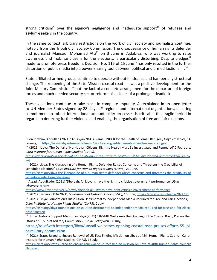strong criticism<sup>9</sup> over the agency's negligence and inadequate support<sup>10</sup> of refugees and asylum-seekers in the country.

In the same context, arbitrary restrictions on the work of civil society and journalists continue, notably from the Tripoli Civil Society Commission. The disappearance of human rights defender and journalist Mansour Mohamed Atti<sup>11</sup> on 3 June in Ajdabiya, who was working to raise awareness and mobilise citizens for the elections, is particularly disturbing. Despite pledges $^{12}$ made to promote press freedom, Decision No. 116 of 15 June<sup>13</sup> has only resulted in the further distortion of public media into a power-sharing tool between political and armed factions  $14$ 

State-affiliated armed groups continue to operate without hindrance and hamper any structural change. The reopening of the Sirte-Misrata coastal road was a positive development for the Joint Military Commission,<sup>15</sup> but the lack of a concrete arrangement for the departure of foreign forces and much-needed security sector reform raises fears of a prolonged deadlock.

These violations continue to take place in complete impunity. As explained in an open letter to UN Member States signed by 28 Libyan,<sup>16</sup> regional and international organisations, ensuring commitment to robust international accountability processes is critical in this fragile period in regards to deterring further violence and enabling the organisation of free and fair elections.

<https://www.libyaobserver.ly/news/dbeibah-all-libyans-have-right-criticize-government-performance>

<sup>9</sup> Ben Ibrahim, Abdullah (2021) '32 Libyan NGOs Blame UNHCR for the Death of Somali Refugee', *Libya Observer*, 14 January, <https://www.libyaobserver.ly/news/32-libyan-ngos-blame-unhcr-death-somali-refugee>

<sup>&</sup>lt;sup>10</sup> (2021) 'Libya: The Denial of Non-Libyan Citizens' Right to Health Must Be Investigated and Remedied' 2 February, *Cairo Institute for Human Rights Studies (CIHRS),*

*[https://cihrs.org/libya-the-denial-of-non-libyan-citizens-right-to-health-must-be-investigated-and-remedied/?lang=](https://cihrs.org/libya-the-denial-of-non-libyan-citizens-right-to-health-must-be-investigated-and-remedied/?lang=en) [en\)](https://cihrs.org/libya-the-denial-of-non-libyan-citizens-right-to-health-must-be-investigated-and-remedied/?lang=en)*

 $11$  (2021) 'Libya: The Kidnapping of a Human Rights Defender Raises Concerns and Threatens the Credibility of Scheduled Elections' *Cairo Institute for Human Rights Studies (CIHRS)*, 21 June,

[https://cihrs.org/libya-the-kidnapping-of-a-human-rights-defender-raises-concerns-and-threatens-the-credibility-of](https://cihrs.org/libya-the-kidnapping-of-a-human-rights-defender-raises-concerns-and-threatens-the-credibility-of-scheduled-elections/?lang=en) [-scheduled-elections/?lang=en](https://cihrs.org/libya-the-kidnapping-of-a-human-rights-defender-raises-concerns-and-threatens-the-credibility-of-scheduled-elections/?lang=en)

<sup>12</sup> Assad, Abdulkader (2021) 'Dbeibah: All Libyans have the right to criticize government performance' *Libya Observer*, 4 May,

<sup>13</sup> (2021) 'Decision 116/2021', *Government of National Union (GNU),* 15 June, [https://gnu.gov.ly/uploads/2021/06](https://gnu.gov.ly/uploads/2021/06/%D9%82%D8%B1%D8%A7%D8%B1-%D8%B1%D9%82%D9%85-116-%D9%84%D8%B3%D9%86%D8%A9-2021%D9%85-%D8%A8%D8%AA%D9%82%D8%B1%D9%8A%D8%B1-%D8%A8%D8%B9%D8%B6-%D8%A7%D9%84%D8%A3%D8%AD%D9%83%D8%A7%D9%85.pdf?fbclid=IwAR2L9qxCUjIXOb6Fd_iQGkubBPYxhf5vEwZ4JxAurq6XsIOxlQQYJOGRz3o)

<sup>&</sup>lt;sup>14</sup> (2021) 'Libya: Foundation's Dissolution Detrimental to Independent Media Required for Free and Fair Elections', *Cairo Institute for Human Rights Studies (CIHRS),* 2 July,

[https://cihrs.org/libya-foundations-dissolution-detrimental-to-independent-media-required-for-free-and-fair-electi](https://cihrs.org/libya-foundations-dissolution-detrimental-to-independent-media-required-for-free-and-fair-elections/?lang=en) [ons/?lang=en](https://cihrs.org/libya-foundations-dissolution-detrimental-to-independent-media-required-for-free-and-fair-elections/?lang=en)

<sup>&</sup>lt;sup>15</sup> United Nations Support Mission in Libya (2021) 'UNSMIL Welcomes the Opening of the Coastal Road, Praises the Efforts of 5+5 Joint Military Commission - Libya' *ReliefWeb*, 30 July,

[https://reliefweb.int/report/libya/unsmil-welcomes-opening-coastal-road-praises-efforts-55-joi](https://reliefweb.int/report/libya/unsmil-welcomes-opening-coastal-road-praises-efforts-55-joint-military-commission) [nt-military-commission](https://reliefweb.int/report/libya/unsmil-welcomes-opening-coastal-road-praises-efforts-55-joint-military-commission)

<sup>&</sup>lt;sup>16</sup> (2021) 'States Urged to Ensure Renewal of UN Fact-Finding Mission on Libya at 48th Human Rights Council' Cairo Institute for Human Rights Studies (CIHRS), 15 July,

[https://cihrs.org/states-urged-to-ensure-renewal-of-un-fact-finding-mission-on-libya-at-48th-human-rights-council/](https://cihrs.org/states-urged-to-ensure-renewal-of-un-fact-finding-mission-on-libya-at-48th-human-rights-council/?lang=en) [?lang=en](https://cihrs.org/states-urged-to-ensure-renewal-of-un-fact-finding-mission-on-libya-at-48th-human-rights-council/?lang=en)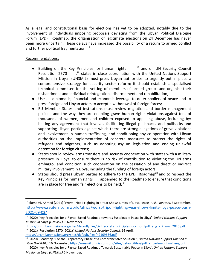As a legal and constitutional basis for elections has yet to be adopted, notably due to the involvement of individuals imposing proposals deviating from the Libyan Political Dialogue Forum (LPDF) Roadmap, the organisation of legitimate elections on 24 December has never been more uncertain. These delays have increased the possibility of a return to armed conflict and further political fragmentation.<sup>17</sup>

# Recommendations:

- Building on the Key Principles for human rights ,<sup>18</sup> and on UN Security Council Resolution 2570  $\frac{19}{19}$  states in close coordination with the United Nations Support Mission in Libya (UNSMIL) must press Libyan authorities to urgently put in place a comprehensive strategy for security sector reform; it should establish a specialised technical committee for the vetting of members of armed groups and organise their disbandment and individual reintegration, disarmament and rehabilitation;
- Use all diplomatic, financial and economic leverage to deter spoilers of peace and to press foreign and Libyan actors to accept a withdrawal of foreign forces;
- EU Member States and institutions must review migration and border management policies and the way they are enabling grave human rights violations against tens of thousands of women, men and children exposed to appalling abuse, including by: halting any agreement that involves facilitating illegal pushbacks and pullbacks and supporting Libyan parties against which there are strong allegations of grave violations and involvement in human trafficking, and conditioning any co-operation with Libyan authorities on the implementation of concrete measures to protect the rights of refugees and migrants, such as adopting asylum legislation and ending unlawful detention for foreign citizens;
- States should review arms transfers and security cooperation with states with a military presence in Libya, to ensure there is no risk of contribution to violating the UN arms embargo, and condition such cooperation on the cessation of any direct or indirect military involvement in Libya, including the funding of foreign actors;
- States should press Libyan parties to adhere to the LPDF Roadmap<sup>20</sup> and to respect the Key Principles for human rights appended to the Roadmap to ensure that conditions are in place for free and fair elections to be held;  $21$

<sup>17</sup> Elumami, Ahmed (2021) 'Worst Tripoli Fighting in a Year Shows Limits of Libya Peace Push' *Reuters*, 3 September, [http://www.reuters.com/world/africa/worst-tripoli-fighting-year-shows-limits-libya-peace-push-](http://www.reuters.com/world/africa/worst-tripoli-fighting-year-shows-limits-libya-peace-push-2021-09-03/)[2021-09-03/](http://www.reuters.com/world/africa/worst-tripoli-fighting-year-shows-limits-libya-peace-push-2021-09-03/)

<sup>18</sup> (2020) 'Key Principles for a Rights-Based Roadmap towards Sustainable Peace in Libya' *United Nations Support Mission in Libya (UNSMIL)*, 6 November,

<sup>19</sup> (2021) 'Resolution 2570 (2021)', *United Nations Security Council,* 16 April, [https://unsmil.unmissions.org/sites/default/files/civil\\_society\\_principles\\_doc\\_for\\_lpdf\\_eng\\_-\\_7\\_nov\\_2020.pdf](https://unsmil.unmissions.org/sites/default/files/civil_society_principles_doc_for_lpdf_eng_-_7_nov_2020.pdf)

<sup>20</sup> (2020) 'Roadmap "For the Preparatory Phase of a Comprehensive Solution"', *United Nations Support Mission in* <https://unsmil.unmissions.org/sites/default/files/n2109656.pdf>

<sup>21</sup> (2020) 'Key Principles for a Rights-Based Roadmap Towards Sustainable Peace in Libya', *United Nations Support Libya (UNSMIL)*, 16 November, [https://unsmil.unmissions.org/sites/default/files/lpdf\\_-\\_roadmap\\_final\\_eng.pdf](https://unsmil.unmissions.org/sites/default/files/lpdf_-_roadmap_final_eng.pdf)

*Mission in Libya (UNSMIL),*6 November,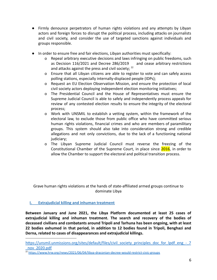- Firmly denounce perpetrators of human rights violations and any attempts by Libyan actors and foreign forces to disrupt the political process, including attacks on journalists and civil society, and consider the use of targeted sanctions against individuals and groups responsible.
- In order to ensure free and fair elections, Libyan authorities must specifically:
	- o Repeal arbitrary executive decisions and laws infringing on public freedoms, such as Decision 116/2021 and Decree 286/2019 and cease arbitrary restrictions and attacks against the press and civil society;  $22$
	- o Ensure that all Libyan citizens are able to register to vote and can safely access polling stations, especially internally-displaced people (IDPs);
	- o Request an EU Election Observation Mission, and ensure the protection of local civil society actors deploying independent election monitoring initiatives;
	- o The Presidential Council and the House of Representatives must ensure the Supreme Judicial Council is able to safely and independently process appeals for review of any contested election results to ensure the integrity of the electoral process;
	- o Work with UNSMIL to establish a vetting system, within the framework of the electoral law, to exclude those from public office who have committed serious human rights violations, financial crimes and who are members of paramilitary groups. This system should also take into consideration strong and credible allegations and not only convictions, due to the lack of a functioning national judiciary:
	- o The Libyan Supreme Judicial Council must reverse the freezing of the Constitutional Chamber of the Supreme Court, in place since 2016, in order to allow the Chamber to support the electoral and political transition process.

Grave human rights violations at the hands of state-affiliated armed groups continue to dominate Libya

# <span id="page-5-0"></span>**I. Extrajudicial killing and inhuman treatment**

**Between January and June 2021, the Libya Platform documented at least 25 cases of extrajudicial killing and inhuman treatment. The search and recovery of the bodies of deceased civilians and combatants around Tripoli and Tarhuna has been ongoing, with at least 22 bodies exhumed in that period, in addition to 12 bodies found in Tripoli, Benghazi and Derna, related to cases of disappearances and extrajudicial killings.**

https://unsmil.unmissions.org/sites/default/files/civil\_society\_principles\_doc\_for\_lpdf\_eng -\_7 [\\_nov\\_2020.pdf](https://unsmil.unmissions.org/sites/default/files/civil_society_principles_doc_for_lpdf_eng_-_7_nov_2020.pdf)

<sup>&</sup>lt;sup>22</sup> <https://www.hrw.org/news/2021/06/04/libya-draconian-decree-would-restrict-civic-groups>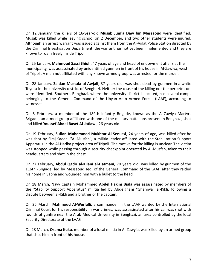On 12 January, the killers of 16-year-old **Musab Jum'a Daw bin Messaoud** were identified. Musab was killed while leaving school on 2 December, and two other students were injured. Although an arrest warrant was issued against them from the Al-Ajilat Police Station directed by the Criminal Investigation Department, the warrant has not yet been implemented and they are known to roam freely inside Tripoli.

On 25 January, **Mahmoud Sassi Shioh**, 47 years of age and head of endowment affairs at the municipality, was assassinated by unidentified gunmen in front of his house in Al-Zawiya, west of Tripoli. A man not affiliated with any known armed group was arrested for the murder.

On 28 January, **Zaidan Mustafa al-Awjali**, 37 years old, was shot dead by gunmen in a white Toyota in the university district of Benghazi. Neither the cause of the killing nor the perpetrators were identified. Southern Benghazi, where the university district is located, has several camps belonging to the General Command of the Libyan Arab Armed Forces (LAAF), according to witnesses.

On 8 February, a member of the 189th Infantry Brigade, known as the Al-Zawiya Martyrs Brigade, an armed group affiliated with one of the military battalions present in Benghazi, shot and killed **Youssef Abdel Baset Al-Jatlawi**, 26 years old.

On 19 February, **Sufian Muhammad Mukhtar Al-Senussi**, 24 years of age, was killed after he was shot by Siraj Saeed, "Al-Musfah", a militia leader affiliated with the Stabilization Support Apparatus in the Al-Hadba project area of Tripoli. The motive for the killing is unclear. The victim was stopped while passing through a security checkpoint operated by Al-Musfah, taken to their headquarters and shot in the chest.

On 27 February, **Abdul Qadir al-Kilani al-Hatmani**, 70 years old, was killed by gunmen of the 116th -Brigade, led by Messaoud Jedi of the General Command of the LAAF, after they raided his home in Sabha and wounded him with a bullet to the head.

On 18 March, Navy Captain Mohammed **Abdel Hakim Biala** was assassinated by members of the "Stability Support Apparatus" militia led by Abdelghani "Ghaniwa" al-Kikli, following a dispute between al-Kikli and a brother of the captain.

On 25 March, **Mahmoud Al-Werfalli**, a commander in the LAAF wanted by the International Criminal Court for his responsibility in war crimes, was assassinated after his car was shot with rounds of gunfire near the Arab Medical University in Benghazi, an area controlled by the local Security Directorate of the LAAF.

On 28 March, **Osama Kuku**, member of a local militia in Al-Zawyia, was killed by an armed group that shot him in front of his house.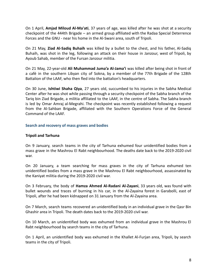On 1 April, **Amjad Miloud Al-Ma'ati**, 37 years of age, was killed after he was shot at a security checkpoint of the 444th Brigade – an armed group affiliated with the Radaa Special Deterrence Forces and the GNU - near his home in the Al-Swani area, south of Tripoli.

On 21 May, **Ziad Al-Sadiq Buhaih** was killed by a bullet to the chest, and his father, Al-Sadiq Buhaih, was shot in the leg, following an attack on their house in Janzour, west of Tripoli, by Ayoub Sahab, member of the Fursan Janzour militia.

On 21 May, 22-year-old **Ali Muhammad Juma'a Al-Jama'i** was killed after being shot in front of a café in the southern Libyan city of Sokna, by a member of the 77th Brigade of the 128th Battalion of the LAAF, who then fled into the battalion's headquarters.

On 30 June, **Ishtiwi Shaha Qiya**, 27 years old, succumbed to his injuries in the Sabha Medical Center after he was shot while passing through a security checkpoint of the Sabha branch of the Tariq bin Ziad Brigade, a militia affiliated to the LAAF, in the centre of Sabha. The Sabha branch is led by Omar Amraj al-Megrahi. The checkpoint was recently established following a request from the Al-Sahban Brigade, affiliated with the Southern Operations Force of the General Command of the LAAF.

#### **Search and recovery of mass graves and bodies**

#### **Tripoli and Tarhuna**

On 9 January, search teams in the city of Tarhuna exhumed four unidentified bodies from a mass grave in the Mashrou El Rabt neighbourhood. The deaths date back to the 2019-2020 civil war.

On 20 January, a team searching for mass graves in the city of Tarhuna exhumed ten unidentified bodies from a mass grave in the Mashrou El Rabt neighbourhood, assassinated by the Kaniyat militia during the 2019-2020 civil war.

On 3 February, the body of **Hamza Ahmed Al-Radani Al-Zayani**, 33 years old, was found with bullet wounds and traces of burning in his car, in the Al-Zayaina forest in Garabolli, east of Tripoli, after he had been kidnapped on 31 January from the Al-Zayaina area.

On 7 March, search teams recovered an unidentified body in an individual grave in the Qasr Bin Ghashir area in Tripoli. The death dates back to the 2019-2020 civil war.

On 10 March, an unidentified body was exhumed from an individual grave in the Mashrou El Rabt neighbourhood by search teams in the city of Tarhuna.

On 1 April, an unidentified body was exhumed in the Khallet Al-Furjan area, Tripoli, by search teams in the city of Tripoli.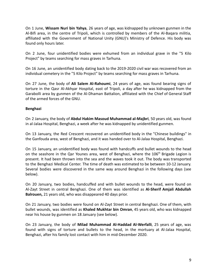On 1 June, **Wissam Nuri bin Yahya**, 26 years of age, was kidnapped by unknown gunmen in the Al-Bifi area, in the centre of Tripoli, which is controlled by members of the Al-Baqara militia, affiliated with the Government of National Unity (GNU)'s Ministry of Defence. His body was found only hours later.

On 2 June, four unidentified bodies were exhumed from an individual grave in the "5 Kilo Project" by teams searching for mass graves in Tarhuna.

On 16 June, an unidentified body dating back to the 2019-2020 civil war was recovered from an individual cemetery in the "5 Kilo Project" by teams searching for mass graves in Tarhuna.

On 27 June, the body of **Ali Salem Al-Rahoumi**, 24 years of age, was found bearing signs of torture in the Qasr Al-Akhyar Hospital, east of Tripoli, a day after he was kidnapped from the Garabolli area by gunmen of the Al-Dhaman Battalion, affiliated with the Chief of General Staff of the armed forces of the GNU.

# **Benghazi**

On 2 January, the body of **Abdul Hakim Masoud Muhammad al-Majbri**, 50 years old, was found in al-Jalaa Hospital, Benghazi, a week after he was kidnapped by unidentified gunmen.

On 13 January, the Red Crescent recovered an unidentified body in the "Chinese buildings" in the Ganfouda area, west of Benghazi, and it was handed over to Al-Jalaa Hospital, Benghazi.

On 15 January, an unidentified body was found with handcuffs and bullet wounds to the head on the seashore in the Qar Younes area, west of Benghazi, where the  $106<sup>th</sup>$  Brigade Legion is present. It had been thrown into the sea and the waves took it out. The body was transported to the Benghazi Medical Center. The time of death was estimated to be between 10-12 January. Several bodies were discovered in the same way around Benghazi in the following days (see below).

On 20 January, two bodies, handcuffed and with bullet wounds to the head, were found on Al-Zayt Street in central Benghazi. One of them was identified as **Al-Sherif Amjali Abdullah Balrouen,** 21 years old, who was disappeared 40 days prior.

On 21 January, two bodies were found on Al-Zayt Street in central Benghazi. One of them, with bullet wounds, was identified as **Khaled Mukhtar bin Omran**, 45 years old, who was kidnapped near his house by gunmen on 18 January (see below).

On 23 January, the body of **Milad Muhammad Al-Haddad Al-Werfalli**, 25 years of age, was found with signs of torture and bullets to the head, in the mortuary at Al-Jalaa Hospital, Benghazi, after his family lost contact with him in mid-December 2020.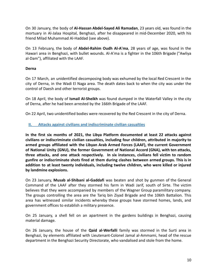On 30 January, the body of **Al-Hassan Abdel-Sayed Ali Ramadan**, 23 years old, was found in the mortuary in Al-Jalaa Hospital, Benghazi, after he disappeared in mid-December 2020, with his friend Milad Muhammad Al-Haddad (see above).

On 13 February, the body of **Abdel-Rahim Oudh Al-A'ma**, 28 years of age, was found in the Hawari area in Benghazi, with bullet wounds. Al-A'ma is a fighter in the 106th Brigade ("Awliya al-Dam"), affiliated with the LAAF.

#### **Derna**

On 17 March, an unidentified decomposing body was exhumed by the local Red Crescent in the city of Derna, in the Wadi El Naga area. The death dates back to when the city was under the control of Daesh and other terrorist groups.

On 18 April, the body of **Ismail Al-Sheikh** was found dumped in the Waterfall Valley in the city of Derna, after he had been arrested by the 166th Brigade of the LAAF.

On 22 April, two unidentified bodies were recovered by the Red Crescent in the city of Derna.

#### <span id="page-9-0"></span>**II. Attacks against civilians and indiscriminate civilian casualties**

**In the first six months of 2021, the Libya Platform documented at least 22 attacks against civilians or indiscriminate civilian casualties, including four children, attributed in majority to armed groups affiliated with the Libyan Arab Armed Forces (LAAF), the current Government of National Unity (GNU), the former Government of National Accord (GNA), with ten attacks, three attacks, and one attack respectively. In six instances, civilians fell victim to random gunfire or indiscriminate shots fired at them during clashes between armed groups. This is in addition to at least twenty individuals, including twelve children, who were killed or injured by landmine explosions.**

On 23 January, **Musab al-Shibani al-Gaddafi** was beaten and shot by gunmen of the General Command of the LAAF after they stormed his farm in Wadi Jarif, south of Sirte. The victim believes that they were accompanied by members of the Wagner Group paramilitary company. The groups controlling the area are the Tariq bin Ziyad Brigade and the 106th Battalion. This area has witnessed similar incidents whereby these groups have stormed homes, lands, and government offices to establish a military presence.

On 25 January, a shell fell on an apartment in the gardens buildings in Benghazi, causing material damage.

On 26 January, the house of the **Qaid al-Werfalli** family was stormed in the Surti area in Benghazi, by elements affiliated with Lieutenant-Colonel Jamal al-Ammami, head of the rescue department in the Benghazi Security Directorate, who vandalised and stole from the home.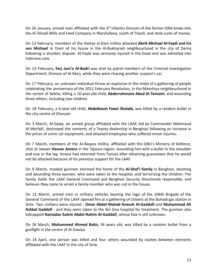On 26 January, armed men affiliated with the 3<sup>rd</sup> Infantry Division of the former GNA broke into the Al-Tahadi Mills and Feed Company in Warshafana, south of Tripoli, and stole sums of money.

On 13 February, members of the Awliya al-Dam militia attacked **Abrik Michael Al-Faydi and his son Michael** in front of his house in the Al-Bukhariah neighbourhood in the city of Derna following a drunken dispute. Al-Faydi was seriously injured in the head and was admitted into intensive care.

On 13 February, **Farj Jum'a Al-Badri** was shot by patrol members of the Criminal Investigation Department, Division of Al-Marj, while they were chasing another suspect's car.

On 17 February, an unknown individual threw an explosive in the midst of a gathering of people celebrating the anniversary of the 2011 February Revolution, in the Manshiya neighbourhood in the centre of Sebha, killing a 10-year-old child, **Abderrahmane Abed Al-Tamami**, and wounding three others, including two children.

On 18 February, a 6-year-old child, **Abdelbaset Fawzi Shalabi,** was killed by a random bullet in the city centre of Gharyan.

On 3 March, Al-Saiqa, an armed group affiliated with the LAAF, led by Commander Mahmoud Al-Werfalli, destroyed the contents of a Toyota dealership in Benghazi following an increase in the prices of some car equipment, and attacked employees who suffered minor injuries.

On 7 March, members of the Al-Baqara militia, affiliated with the GNU's Ministry of Defence, shot at lawyer **Hassan Amara** in the Tajoura region, wounding him with a bullet to the shoulder and one in the leg. Amara had returned from Tunisia after obtaining guarantees that he would not be attacked because of his previous support for the LAAF.

On 9 March, masked gunmen stormed the home of the **Al-Shaf'i family** in Benghazi, shooting and wounding three women, who were taken to the hospital, and terrorizing the children. The family holds the LAAF General Command and Benghazi Security Directorate responsible, and believes they came to arrest a family member who was not in the house.

On 11 March, armed men in military vehicles bearing the logo of the 106th Brigade of the General Command of the LAAF opened fire at a gathering of citizens at the Buhadi gas station in Sirte. Two civilians were injured - **Omar Abdel-Wahab Kneesh Al-Gaddafi** and **Muhammad Ali Ashkal Gaddafi** - and they were taken to the Ibn Sina hospital for treatment. The gunmen also kidnapped **Ramadan Salem Abdel-Rahim Al-Gaddafi**, whose fate is still unknown.

On 26 March, **Mohammed Ahmed Bakir,** 34 years old, was killed by a random bullet from a gunfight in the centre of Al-Zawiya.

On 14 April, one person was killed and four others wounded by clashes between elements affiliated with the LAAF in the city of Sirte.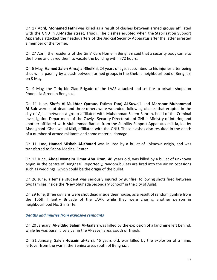On 17 April, **Mohamed Fathi** was killed as a result of clashes between armed groups affiliated with the GNU in Al-Madar street, Tripoli. The clashes erupted when the Stabilization Support Apparatus attacked the headquarters of the Judicial Security Apparatus after the latter arrested a member of the former.

On 27 April, the residents of the Girls' Care Home in Benghazi said that a security body came to the home and asked them to vacate the building within 72 hours.

On 6 May, **Hamed Saleh Amraj al-Sheikhi**, 24 years of age, succumbed to his injuries after being shot while passing by a clash between armed groups in the Shebna neighbourhood of Benghazi on 3 May.

On 9 May, the Tariq bin Ziad Brigade of the LAAF attacked and set fire to private shops on Phoenicia Street in Benghazi.

On 11 June, **Shefa Al-Mukhtar Qarouz, Fatima Faraj Al-Suwaii**, and **Mansour Muhammad Al-Bab** were shot dead and three others were wounded, following clashes that erupted in the city of Ajilat between a group affiliated with Muhammad Salem Bahrun, head of the Criminal Investigation Department of the Zawiya Security Directorate of GNU's Ministry of Interior, and another affiliated with Muhammad Baraka from the Stability Support Apparatus militia, led by Abdelghani 'Ghaniwa' al-Kikli, affiliated with the GNU. These clashes also resulted in the death of a number of armed militants and some material damage.

On 11 June, **Hamad Misbah Al-Khatari** was injured by a bullet of unknown origin, and was transferred to Sabha Medical Center.

On 12 June, **Abdel Moneim Omar Abu Uzan**, 48 years old, was killed by a bullet of unknown origin in the centre of Benghazi. Reportedly, random bullets are fired into the air on occasions such as weddings, which could be the origin of the bullet.

On 26 June, a female student was seriously injured by gunfire, following shots fired between two families inside the "New Shuhada Secondary School" in the city of Ajilat.

On 29 June, three civilians were shot dead inside their house, as a result of random gunfire from the 166th Infantry Brigade of the LAAF, while they were chasing another person in neighbourhood No. 3 in Sirte.

#### *Deaths and injuries from explosive remnants*

On 20 January, **Al-Siddiq Salem Al-Jaafari** was killed by the explosion of a landmine left behind, while he was passing by a car in the Al-Sayeh area, south of Tripoli.

On 31 January, **Saleh Hussein al-Farsi,** 46 years old, was killed by the explosion of a mine, leftover from the war in the Benina area, south of Benghazi.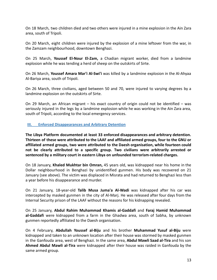On 18 March, two children died and two others were injured in a mine explosion in the Ain Zara area, south of Tripoli.

On 20 March, eight children were injured by the explosion of a mine leftover from the war, in the Zamzam neighbourhood, downtown Benghazi.

On 25 March, **Youssef El-Nour El-Zam,** a Chadian migrant worker, died from a landmine explosion while he was tending a herd of sheep on the outskirts of Sirte.

On 26 March, **Youssef Amara Mar'i Al-Swi'i** was killed by a landmine explosion in the Al-Ahyaa Al-Bariya area, south of Tripoli.

On 26 March, three civilians, aged between 50 and 70, were injured to varying degrees by a landmine explosion on the outskirts of Sirte.

On 29 March, an African migrant – his exact country of origin could not be identified – was seriously injured in the legs by a landmine explosion while he was working in the Ain Zara area, south of Tripoli, according to the local emergency services.

#### <span id="page-12-0"></span>**III. Enforced Disappearances and Arbitrary Detention**

**The Libya Platform documented at least 33 enforced disappearances and arbitrary detention. Thirteen of these were attributed to the LAAF and affiliated armed groups, four to the GNU or affiliated armed groups, two were attributed to the Daesh organisation, while fourteen could not be clearly attributed to a specific group. Two civilians were arbitrarily arrested or sentenced by a military court in eastern Libya on unfounded terrorism-related charges.**

On 18 January, **Khaled Mukhtar bin Omran,** 45 years old, was kidnapped near his home in the Dollar neighbourhood in Benghazi by unidentified gunmen. His body was recovered on 21 January (see above). The victim was displaced in Misrata and had returned to Benghazi less than a year before his disappearance and murder.

On 21 January, 18-year-old **Talib Musa Juma'a Al-Wadi** was kidnapped after his car was intercepted by masked gunmen in the city of Al-Marj. He was released after four days from the Internal Security prison of the LAAF without the reasons for his kidnapping revealed.

On 25 January, **Abdul Rahim Muhammad Khamis al-Gaddafi** and **Faraj Hamid Muhammad al-Gaddafi** were kidnapped from a farm in the Ghadwa area, south of Sabha, by unknown gunmen reportedly affiliated to the Daesh organisation.

On 4 February, **Abdullah Youssef al-Biju** and his brother **Muhammad Yusuf al-Biju** were kidnapped and taken to an unknown location after their house was stormed by masked gunmen in the Ganfouda area, west of Benghazi. In the same area, **Abdul Mawli Saad al-Tira** and his son **Ahmed Abdul Mawli al-Tira** were kidnapped after their house was raided in Ganfouda by the same armed group.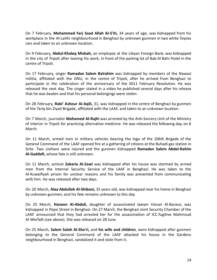On 7 February, **Mohammed Farj Saad Allah Al-S'iti,** 34 years of age, was kidnapped from his workplace in the Al-Laithi neighbourhood in Benghazi by unknown gunmen in two white Toyota cars and taken to an unknown location.

On 9 February, **Abdul-Khaleq Misbah,** an employee at the Libyan Foreign Bank, was kidnapped in the city of Tripoli after leaving his work, in front of the parking lot of Bab Al Bahr Hotel in the centre of Tripoli.

On 17 February, singer **Ramadan Salem Balrahim** was kidnapped by members of the Nawasi militia, affiliated with the GNU, in the centre of Tripoli, after he arrived from Benghazi to participate in the celebration of the anniversary of the 2011 February Revolution. He was released the next day. The singer stated in a video he published several days after his release that he was beaten and that his personal belongings were stolen.

On 28 February, **Rabi' Ashour Al-Aqili,** 31, was kidnapped in the centre of Benghazi by gunmen of the Tariq bin Ziyad Brigade, affiliated with the LAAF, and taken to an unknown location.

On 7 March, journalist **Mohamed Al-Rajhi** was arrested by the Anti-Sorcery Unit of the Ministry of Interior in Tripoli for practicing alternative medicine. He was released the following day, on 8 March.

On 11 March, armed men in military vehicles bearing the logo of the 106th Brigade of the General Command of the LAAF opened fire at a gathering of citizens at the Buhadi gas station in Sirte. Two civilians were injured and the gunmen kidnapped **Ramadan Salem Abdel-Rahim Al-Gaddafi,** whose fate is still unknown.

On 11 March, activist **Zakaria Al-Zawi** was kidnapped after his house was stormed by armed men from the Internal Security Service of the LAAF in Benghazi. He was taken to the Al-Kuwaifiyah prison for unclear reasons and his family was prevented from communicating with him. He was released after two days.

On 20 March, **Alaa Abdullah Al-Shibani,** 35 years old, was kidnapped near his home in Benghazi by unknown gunmen, and his fate remains unknown to this day.

On 25 March, **Haneen Al-Abdali,** daughter of assassinated lawyer Hanan Al-Barassi, was kidnapped in Pepsi Street in Benghazi. On 27 March, the Benghazi Joint Security Chamber of the LAAF announced that they had arrested her for the assassination of ICC-fugitive Mahmoud Al-Werfalli (see above). She was released on 28 June.

On 25 March, **Salem Saleh Al-Sha'ri,** and **his wife and children**, were kidnapped after gunmen belonging to the General Command of the LAAF attacked his house in the Gardens neighbourhood in Benghazi, vandalized it and stole from it.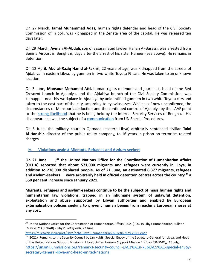On 27 March, **Jamal Muhammad Adas,** human rights defender and head of the Civil Society Commission of Tripoli, was kidnapped in the Zenata area of the capital. He was released ten days later.

On 29 March, **Ayman Al-Abdali,** son of assassinated lawyer Hanan Al-Barassi, was arrested from Benina Airport in Benghazi, days after the arrest of his sister Haneen (see above). He remains in detention.

On 12 April, **Abd al-Raziq Hamd al-Fakhri,** 22 years of age, was kidnapped from the streets of Ajdabiya in eastern Libya, by gunmen in two white Toyota FJ cars. He was taken to an unknown location.

On 3 June, **Mansour Mohamed Atti,** human rights defender and journalist, head of the Red Crescent branch in Ajdabiya, and the Ajdabiya branch of the Civil Society Commission, was kidnapped near his workplace in Ajdabiya by unidentified gunmen in two white Toyota cars and taken to the east part of the city, according to eyewitnesses. While as of now unconfirmed, the circumstances of Mansour's abduction and the continued control of Ajdabiya by the LAAF point to the strong [likelihood](https://cihrs.org/libya-the-kidnapping-of-a-human-rights-defender-raises-concerns-and-threatens-the-credibility-of-scheduled-elections/?lang=en) that he is being held by the Internal Security Services of Benghazi. His disappearance was the subject of a [communication](https://srdefenders.org/libya-human-rights-defender-abducted-possibly-disappeared-by-state-security-forces-joint-communication/) from UN Special Procedures.

On 5 June, the military court in Qarnada (eastern Libya) arbitrarily sentenced civilian **Talal Al-Hanshir,** director of the public utility company, to 16 years in prison on terrorism-related charges.

# <span id="page-14-0"></span>IV. **Violations against Migrants, Refugees and Asylum-seekers**

**On 21 June , the United Nations Office for the Coordination of Humanitarian Affairs 23 (OCHA) reported that about 571,000 migrants and refugees were currently in Libya, in addition to 278,000 displaced people. As of 21 June, an estimated 6,377 migrants, refugees and asylum-seekers were arbitrarily held in official detention centres across the country, a 24 550 per cent increase since January 2021.**

**Migrants, refugees and asylum-seekers continue to be the subject of mass human rights and humanitarian law violations, trapped in an inhumane system of unlawful detention, exploitation and abuse supported by Libyan authorities and enabled by European externalisation policies seeking to prevent human beings from reaching European shores at any cost.**

*<sup>23</sup>* United Nations Office for the Coordination of Humanitarian Affairs (2021( 'OCHA Libya Humanitarian Bulletin (May 2021) [EN/AR] - Libya', *ReliefWeb*, 22 June,

<https://reliefweb.int/report/libya/ocha-libya-l-humanitarian-bulletin-may-2021-enar>

<sup>&</sup>lt;sup>24</sup> (2021) 'Remarks to the Security Council by Ján Kubiš, Special Envoy of the Secretary-General for Libya, and Head of the United Nations Support Mission in Libya', *United Nations Support Mission in Libya (UNSMIL),* 15 July, [https://unsmil.unmissions.org/remarks-security-council-j%C3%A1n-kubi%C5%A1-special-envoy](https://unsmil.unmissions.org/remarks-security-council-j%C3%A1n-kubi%C5%A1-special-envoy-secretary-general-libya-and-head-united-nations)[secretary-general-libya-and-head-united-nations](https://unsmil.unmissions.org/remarks-security-council-j%C3%A1n-kubi%C5%A1-special-envoy-secretary-general-libya-and-head-united-nations)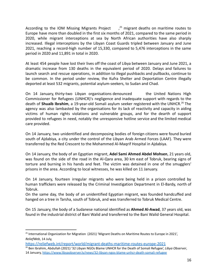According to the IOM Missing Migrants Project  $\frac{1}{25}$  migrant deaths on maritime routes to Europe have more than doubled in the first six months of 2021, compared to the same period in 2020, while migrant interceptions at sea by North African authorities have also sharply increased. Illegal interceptions by the Libyan Coast Guards tripled between January and June 2021, reaching a record-high number of 15,330, compared to 5,476 interceptions in the same period in 2020 and 11,891 in total in 2020.

At least 454 people have lost their lives off the coast of Libya between January and June 2021, a dramatic increase from 130 deaths in the equivalent period of 2020. Delays and failures to launch search and rescue operations, in addition to illegal pushbacks and pullbacks, continue to be common. In the period under review, the Kufra Shelter and Deportation Centre illegally deported at least 532 migrants, potential asylum-seekers, to Sudan and Chad.

On 14 January, thirty-two Libyan organisations denounced the United Nations High Commissioner for Refugees (UNHCR)'s negligence and inadequate support with regards to the death of **Shuaib Ibrahim**, a 19-year-old Somali asylum seeker registered with the UNHCR.<sup>26</sup> The agency was also lambasted by the organisations for its lack of reactivity and capacity in aiding victims of human rights violations and vulnerable groups, and for the dearth of support provided to refugees in need, notably the unresponsive hotline service and the limited medical care provided.

On 14 January, two unidentified and decomposing bodies of foreign citizens were found buried south of Ajdabiya, a city under the control of the Libyan Arab Armed Forces (LAAF). They were transferred by the Red Crescent to the Mohammed Al-Maqrif Hospital in Ajdabiya.

On 14 January, the body of an Egyptian migrant, **Adel Sami Ahmed Abdel Mohsen**, 21 years old, was found on the side of the road in the Al-Qara area, 30 km east of Tobruk, bearing signs of torture and burning in his hands and feet. The victim was detained in one of the smugglers' prisons in the area. According to local witnesses, he was killed on 11 January.

On 14 January, fourteen irregular migrants who were being held in a prison controlled by human traffickers were released by the Criminal Investigation Department in El-Bardy, north of Tobruk.

On the same day, the body of an unidentified Egyptian migrant, was founded handcuffed and hanged on a tree in Tarsha, south of Tobruk, and was transferred to Tobruk Medical Centre.

On 15 January, the body of a Sudanese national identified as **Ahmed Al-Awad**, 37 years old, was found in the industrial district of Bani Walid and transferred to the Bani Walid General Hospital.

<sup>&</sup>lt;sup>25</sup> International Organization for Migration (2021) 'Migrant Deaths on Maritime Routes to Europe in 2021', *ReliefWeb*, 14 July,

<https://reliefweb.int/report/world/migrant-deaths-maritime-routes-europe-2021>

<sup>26</sup> Ben Ibrahim, Abdullah (2021) '32 Libyan NGOs Blame UNHCR for the Death of Somali Refugee', *Libya Observer*, 14 January, <https://www.libyaobserver.ly/news/32-libyan-ngos-blame-unhcr-death-somali-refugee>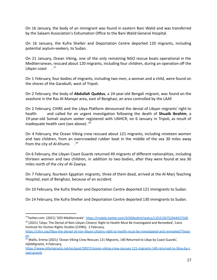On 16 January, the body of an immigrant was found in eastern Bani Walid and was transferred by the Salaam Association's Exhumation Office to the Bani Walid General Hospital.

On 16 January, the Kufra Shelter and Deportation Centre deported 120 migrants, including potential asylum-seekers, to Sudan.

On 21 January, Ocean Viking, one of the only remaining NGO rescue boats operational in the Mediterranean, rescued about 120 migrants, including four children, during an operation off the Libyan coast  $^{27}$ 

On 1 February, four bodies of migrants, including two men, a woman and a child, were found on the shores of the Garabulli, west of Tripoli.

On 2 February, the body of **Abdullah Quddus**, a 24-year-old Bengali migrant, was found on the seashore in the Ras Al-Manqar area, east of Benghazi, an area controlled by the LAAF.

On 2 February, CIHRS and the Libya Platform denounced the denial of Libyan migrants' right to health and called for an urgent investigation following the death of **Shuaib Ibrahim**, a 19-year-old Somali asylum seeker registered with UNHCR, on 6 January in Tripoli, as result of inadequate health care (see above).  $28$ 

On 4 February, the Ocean Viking crew rescued about 121 migrants, including nineteen women and two children, from an overcrowded rubber boat in the middle of the sea 30 miles away from the city of Al-Khums  $2^9$ .

On 6 February, the Libyan Coast Guards returned 49 migrants of different nationalities, including thirteen women and two children, in addition to two bodies, after they were found at sea 30 miles north of the city of Al-Zawiya.

On 7 February, fourteen Egyptian migrants, three of them dead, arrived at the Al-Marj Teaching Hospital, east of Benghazi, because of an accident.

On 10 February, the Kufra Shelter and Deportation Centre deported 121 immigrants to Sudan.

On 14 February, the Kufra Shelter and Deportation Centre deported 130 immigrants to Sudan.

Institute for Human Rights Studies (CIHRS), 2 February,

<sup>&</sup>lt;sup>28</sup> (2021) 'Libya: The Denial of Non-Libyan Citizens' Right to Health Must Be Investigated and Remedied', Cairo <sup>27</sup>Twitter.com (2021) 'SOS Méditerranée' .<https://mobile.twitter.com/SOSMedIntl/status/1352236752044437506>

[https://cihrs.org/libya-the-denial-of-non-libyan-citizens-right-to-health-must-be-investigated-and-remedied/?lang=](https://cihrs.org/libya-the-denial-of-non-libyan-citizens-right-to-health-must-be-investigated-and-remedied/?lang=en) [en](https://cihrs.org/libya-the-denial-of-non-libyan-citizens-right-to-health-must-be-investigated-and-remedied/?lang=en)

<sup>&</sup>lt;sup>29</sup> Wallis, Emma (2021) 'Ocean Viking Crew Rescues 121 Migrants, 140 Returned to Libya by Coast Guards', *InfoMigrants*, 4 February,

[https://www.infomigrants.net/en/post/30072/ocean-viking-crew-rescues-121-migrants-140-returned-to-libya-by-c](https://www.infomigrants.net/en/post/30072/ocean-viking-crew-rescues-121-migrants-140-returned-to-libya-by-coast-guards) [oast-guards](https://www.infomigrants.net/en/post/30072/ocean-viking-crew-rescues-121-migrants-140-returned-to-libya-by-coast-guards)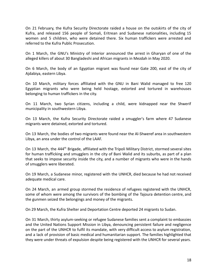On 21 February, the Kufra Security Directorate raided a house on the outskirts of the city of Kufra, and released 156 people of Somali, Eritrean and Sudanese nationalities, including 15 women and 5 children, who were detained there. Six human traffickers were arrested and referred to the Kufra Public Prosecution.

On 1 March, the GNU's Ministry of Interior announced the arrest in Gharyan of one of the alleged killers of about 30 Bangladeshi and African migrants in Mezdah in May 2020.

On 6 March, the body of an Egyptian migrant was found near Gate 200, east of the city of Ajdabiya, eastern Libya.

On 10 March, military forces affiliated with the GNU in Bani Walid managed to free 120 Egyptian migrants who were being held hostage, extorted and tortured in warehouses belonging to human traffickers in the city.

On 11 March, two Syrian citizens, including a child, were kidnapped near the Shwerif municipality in southwestern Libya.

On 13 March, the Kufra Security Directorate raided a smuggler's farm where 47 Sudanese migrants were detained, extorted and tortured.

On 13 March, the bodies of two migrants were found near the Al-Shweref area in southwestern Libya, an area under the control of the LAAF.

On 13 March, the 444<sup>th</sup> Brigade, affiliated with the Tripoli Military District, stormed several sites for human trafficking and smugglers in the city of Bani Walid and its suburbs, as part of a plan that seeks to impose security inside the city, and a number of migrants who were in the hands of smugglers were liberated.

On 19 March, a Sudanese minor, registered with the UNHCR, died because he had not received adequate medical care.

On 24 March, an armed group stormed the residence of refugees registered with the UNHCR, some of whom were among the survivors of the bombing of the Tajoura detention centre, and the gunmen seized the belongings and money of the migrants.

On 29 March, the Kufra Shelter and Deportation Centre deported 24 migrants to Sudan.

On 31 March, thirty asylum-seeking or refugee Sudanese families sent a complaint to embassies and the United Nations Support Mission in Libya, denouncing persistent failure and negligence on the part of the UNHCR to fulfil its mandate, with very difficult access to asylum registration, and a lack of provision of basic medical and humanitarian support. The families highlighted that they were under threats of expulsion despite being registered with the UNHCR for several years.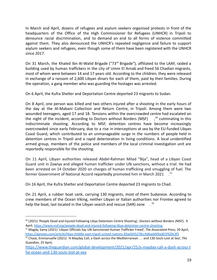In March and April, dozens of refugees and asylum seekers organised protests in front of the headquarters of the Office of the High Commissioner for Refugees (UNHCR) in Tripoli to denounce racial discrimination, and to demand an end to all forms of violence committed against them. They also denounced the UNHCR's repeated negligence and failure to support asylum seekers and refugees, even though some of them have been registered with the UNHCR since 2017.

On 31 March, the Khaled Ibn Al-Walid Brigade ("73<sup>rd</sup> Brigade"), affiliated to the LAAF, raided a building used by human traffickers in the city of Umm El Arnab and freed 56 Chadian migrants, most of whom were between 14 and 17 years old. According to the children, they were released in exchange of a ransom of 2,600 Libyan dinars for each of them, paid by their families. During the operation, a gang member who was guarding the hostages was arrested.

On 6 April, the Kufra Shelter and Deportation Centre deported 23 migrants to Sudan.

On 8 April, one person was killed and two others injured after a shooting in the early hours of the day at the Al-Mabani Collection and Return Centre, in Tripoli. Among them were two wounded teenagers, aged 17 and 18. Tensions within the overcrowded centre had escalated on the night of the incident, according to Doctors without Borders (MSF)  $30$  culminating in this indiscriminate shooting. According to MSF, detention centres have become increasingly overcrowded since early February, due to a rise in interceptions at sea by the EU-funded Libyan Coast Guard, which contributed to an unmanageable surge in the numbers of people held in detention centres in Tripoli and a rapid deterioration in living conditions. A local unidentified armed group, members of the police and members of the local criminal investigation unit are reportedly responsible for the shooting.

On 11 April, Libyan authorities released Abdel-Rahman Milad "Bija", head of a Libyan Coast Guard unit in Zawiya and alleged human trafficker under UN sanctions, without a trial. He had been arrested on 14 October 2020 on charges of human trafficking and smuggling of fuel. The former Government of National Accord reportedly promoted him in March 2021  $\cdot$ <sup>31</sup>

On 16 April, the Kufra Shelter and Deportation Centre deported 23 migrants to Chad.

On 21 April, a rubber boat sank, carrying 130 migrants, most of them Sudanese. According to crew members of the Ocean Viking, neither Libyan or Italian authorities nor Frontex agreed to help the boat, last located in the Libyan search and rescue (SAR) zone . <sup>32</sup>

<sup>30</sup> (2021) 'People Dead and Injured Following Libya Detention Centre Shooting', *Doctors without Borders (MSF)*, 9 April, <https://www.msf.org/people-dead-and-injured-following-libya-detention-centre-shooting>

<sup>31</sup> Magdy, Samy (2021) 'Libyan Officials Say UN-Sanctioned Human Trafficker Freed', *The Associated Press*, 20 April, <https://apnews.com/article/libya-middle-east-tripoli-united-nations-83ad345278cc4d6add49ad01f420c3f5>

<sup>32</sup> Chaze, Emmanuelle (2021) 'A Mayday Call, a Dash across the Mediterranean … and 130 Souls Lost at Sea', *The Guardian*, 25 April,

[https://www.theguardian.com/global-development/2021/apr/25/a-mayday-call-a-dash-across-t](https://www.theguardian.com/global-development/2021/apr/25/a-mayday-call-a-dash-across-the-ocean-and-130-souls-lost-at-sea) [he-ocean-and-130-souls-lost-at-sea](https://www.theguardian.com/global-development/2021/apr/25/a-mayday-call-a-dash-across-the-ocean-and-130-souls-lost-at-sea)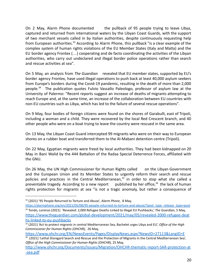On 2 May, Alarm Phone documented the pullback of 95 people trying to leave Libya, captured and returned from international waters by the Libyan Coast Guards, with the support of two merchant vessels called in by Italian authorities, despite continuously requesting help from European authorities.<sup>33</sup> According to Alarm Phone, this pullback "is a clear example of the complex system of human rights violations of the EU Member States (Italy and Malta) and the EU border agency Frontex (…) cooperating and de facto coordinating the activities of the Libyan authorities, who carry out undeclared and illegal border police operations rather than search and rescue activities at sea".

On 5 May, an analysis from *The Guardian* revealed that EU member states, supported by EU's border agency Frontex, have used illegal operations to push back at least 40,000 asylum seekers from Europe's borders during the Covid-19 pandemic, resulting in the death of more than 2,000 people.<sup>34</sup> The publication quotes Fulvio Vassallo Paleologo, professor of asylum law at the University of Palermo: "Recent reports suggest an increase of deaths of migrants attempting to reach Europe and, at the same time, an increase of the collaboration between EU countries with non-EU countries such as Libya, which has led to the failure of several rescue operations".

On 9 May, four bodies of foreign citizens were found on the shores of Garabulli, east of Tripoli, including a woman and a child. They were recovered by the local Red Crescent branch, and 40 other people who were on a boat trying to leave the country were rescued in the same area.

On 13 May, the Libyan Coast Guard intercepted 99 migrants who were on their way to European shores on a rubber boat and transferred them to the Al-Mabani detention centre (Tripoli).

On 22 May, Egyptian migrants were freed by local authorities. They had been kidnapped on 20 May in Bani Walid by the 444 Battalion of the Radaa Special Deterrence Forces, affiliated with the GNU.

On 26 May, the UN High Commissioner for Human Rights called on the Libyan Government and the European Union and its Member States to urgently reform their search and rescue policies and practices in the Central Mediterranean,<sup>35</sup> in order to stop what she called a preventable tragedy. According to a new report published by her office,  $36$  the lack of human rights protection for migrants at sea "is not a tragic anomaly, but rather a consequence of

<sup>33</sup> (2021) '95 People Returned to Torture and Abuse', *Alarm Phone*, 8 May,

<sup>34</sup> Tondo, Lorenzo (2021) 'Revealed: 2,000 Refugee Deaths Linked to Illegal EU Pushbacks,' *The Guardian*, 5 May, [https://www.theguardian.com/global-development/2021/may/05/revealed-2000-refugee-deat](https://www.theguardian.com/global-development/2021/may/05/revealed-2000-refugee-deaths-linked-to-eu-pushbacks) [hs-linked-to-eu-pushbacks](https://www.theguardian.com/global-development/2021/may/05/revealed-2000-refugee-deaths-linked-to-eu-pushbacks) [https://alarmphone.org/en/2021/05/08/95-people-returned-to-torture-and-abuse/?post\\_type\\_release\\_type=post](https://alarmphone.org/en/2021/05/08/95-people-returned-to-torture-and-abuse/?post_type_release_type=post)

<sup>35</sup> (2021) 'Act to protect migrants in central Mediterranean Sea, Bachelet urges Libya and EU', *Office of the High Commissioner for Human Rights (OHCHR),* 26 May,

<https://www.ohchr.org/EN/NewsEvents/Pages/DisplayNews.aspx?NewsID=27113&LangID=E>

<sup>&</sup>lt;sup>36</sup> (2021) 'Lethal Disregard Search and Rescue and the Protection of Migrants in the Central Mediterranean Sea', *Office of the High Commissioner for Human Rights (OHCHR),* 25 May,

[http://www.ohchr.org/Documents/Issues/Migration/OHCHR-thematic-report-SAR-protection-at](http://www.ohchr.org/Documents/Issues/Migration/OHCHR-thematic-report-SAR-protection-at-sea.pdf) [-sea.pdf](http://www.ohchr.org/Documents/Issues/Migration/OHCHR-thematic-report-SAR-protection-at-sea.pdf)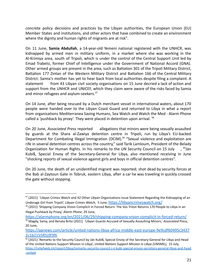concrete policy decisions and practices by the Libyan authorities, the European Union (EU) Member States and institutions, and other actors that have combined to create an environment where the dignity and human rights of migrants are at risk".

On 11 June, **Samia Abdullah**, a 14-year-old Yemeni national registered with the UNHCR, was kidnapped by armed men in military uniform, in a market where she was working in the Al-Krimiya area, south of Tripoli, which is under the control of the Central Support Unit led by Emad Trabelsi, former Chief of Intelligence under the Government of National Accord (GNA). Other armed groups are present in the area, such as Battalion 301 of the Tripoli Military District, Battalion 177 Zintan of the Western Military District and Battalion 166 of the Central Military District. Samia's mother has yet to hear back from local authorities despite filing a complaint. A statement from 43 Libyan civil society organisations on 15 June decried a lack of action and support from the UNHCR and UNICEF, which they claim were aware of the risks faced by Samia and minor refugees and asylum-seekers.<sup>37</sup>

On 14 June, after being rescued by a Dutch merchant vessel in international waters, about 170 people were handed over to the Libyan Coast Guard and returned to Libya in what a report from organisations Mediterranea Saving Humans, Sea Watch and Watch the Med - Alarm Phone called a 'pushback by proxy'. They were placed in detention upon arrival. <sup>38</sup>

On 20 June, *Associated Press* reported allegations that minors were being sexually assaulted by guards at the Shara al-Zawiya detention centre in Tripoli, run by Libya's EU-backed Department for Combating Illegal Immigration (DCIM).<sup>39</sup> "Sexual violence and exploitation are rife in several detention centres across the country," said Tarik Lamloum, President of the Belady Organization for Human Rights. In his remarks to the UN Security Council on 15 July  $\frac{40}{4}$ Ján Kubiš, Special Envoy of the Secretary-General for Libya, also mentioned receiving in June "shocking reports of sexual violence against girls and boys in official detention centres".

On 20 June, the death of an unidentified migrant was reported; shot dead by security forces at the Bab al-Zaytoun Gate in Tobruk, eastern Libya, after a car he was traveling in quickly crossed the gate without stopping.

<sup>&</sup>lt;sup>37</sup> (2021) 'Libyan Crimes Watch and 42 Other Libyan Organisations Issue Statement Regarding the Kidnapping of an Underage Girl from Tripoli', *Libyan Crimes Watch*, 5 June, [https://libyancrimeswatch.org/](https://libyancrimeswatch.org/%D8%B1%D8%B5%D8%AF-%D8%A7%D9%84%D8%AC%D8%B1%D8%A7%D8%A6%D9%85-%D8%A7%D9%84%D9%84%D9%8A%D8%A8%D9%8A%D8%A9-%D9%8842-%D9%85%D9%86%D8%B8%D9%85%D8%A9-%D9%84%D9%8A%D8%A8%D9%8A%D8%A9-%D8%A7%D8%AE%D8%B1%D9%89/)

<sup>&</sup>lt;sup>38</sup> (2021) 'Shipping Company Vroon Complicit in Forced Return: The Vos Triton Returns 170 People to Libya in an Illegal Pushback by Proxy,' *Alarm Phone*, 29 June,

<sup>39</sup> Magdy, Samy, and Renata Brito (2021) 'Libyan Guards Accused of Sexually Assaulting Minors,' *Associated Press,* 20 June, <https://alarmphone.org/en/2021/06/29/shipping-company-vroon-complicit-in-forced-return/>

[https://apnews.com/article/united-nations-libya-africa-middle-east-europe-9e9cdf60495c3437](https://apnews.com/article/united-nations-libya-africa-middle-east-europe-9e9cdf60495c34372c1b2155f010f3f6) [2c1b2155f010f3f6](https://apnews.com/article/united-nations-libya-africa-middle-east-europe-9e9cdf60495c34372c1b2155f010f3f6)

<sup>&</sup>lt;sup>40</sup> (2021) 'Remarks to the Security Council by Ján Kubiš, Special Envoy of the Secretary-General for Libya and Head of the United Nations Support Mission in Libya', *United Nations Support Mission in Libya (UNSMIL),* 15 July, [https://reliefweb.int/report/libya/remarks-security-council-j-n-kubi-special-envoy-secretary-general-libya-and-head](https://reliefweb.int/report/libya/remarks-security-council-j-n-kubi-special-envoy-secretary-general-libya-and-head-united) [-united](https://reliefweb.int/report/libya/remarks-security-council-j-n-kubi-special-envoy-secretary-general-libya-and-head-united)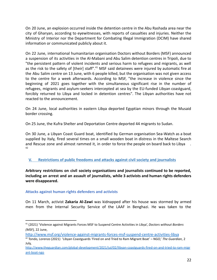On 20 June, an explosion occurred inside the detention centre in the Abu Rashada area near the city of Gharyan, according to eyewitnesses, with reports of casualties and injuries. Neither the Ministry of Interior nor the Department for Combating Illegal Immigration (DCIM) have shared information or communicated publicly about it.

On 22 June, international humanitarian organisation Doctors without Borders (MSF) announced a suspension of its activities in the Al-Mabani and Abu Salim detention centres in Tripoli, due to "the persistent pattern of violent incidents and serious harm to refugees and migrants, as well as the risk to the safety of [their] staff".<sup>41</sup> MSF said detainees were injured by automatic fire at the Abu Salim centre on 13 June, with 6 people killed, but the organisation was not given access to the centre for a week afterwards. According to MSF, "the increase in violence since the beginning of 2021 goes together with the simultaneous significant rise in the number of refugees, migrants and asylum-seekers intercepted at sea by the EU-funded Libyan coastguard, forcibly returned to Libya and locked in detention centres". The Libyan authorities have not reacted to the announcement.

On 24 June, local authorities in eastern Libya deported Egyptian minors through the Musaid border crossing.

On 25 June, the Kufra Shelter and Deportation Centre deported 44 migrants to Sudan.

On 30 June, a Libyan Coast Guard boat, identified by German organisation Sea-Watch as a boat supplied by Italy, fired several times on a small wooden boat in distress in the Maltese Search and Rescue zone and almost rammed it, in order to force the people on board back to Libya . 42

<span id="page-21-0"></span>**V. Restrictions of public freedoms and attacks against civil society and journalists**

**Arbitrary restrictions on civil society organisations and journalists continued to be reported, including an arrest and an assault of journalists, while 3 activists and human rights defenders were disappeared.**

# **Attacks against human rights defenders and activists**

On 11 March, activist **Zakaria Al-Zawi** was kidnapped after his house was stormed by armed men from the Internal Security Service of the LAAF in Benghazi. He was taken to the

<sup>41</sup> (2021) 'Violence against Migrants Forces MSF to Suspend Centre Activities in Libya', *Doctors without Borders (MSF),* 22 June,

<http://www.msf.org/violence-against-migrants-forces-msf-suspend-centre-activities-libya>

<sup>42</sup> Tondo, Lorenzo (2021) 'Libyan Coastguards 'Fired on and Tried to Ram Migrant Boat' – NGO,' *The Guardian*, 2 July,

[http://www.theguardian.com/global-development/2021/jul/02/libyan-coastguards-fired-on-and-tried-to-ram-migr](http://www.theguardian.com/global-development/2021/jul/02/libyan-coastguards-fired-on-and-tried-to-ram-migrant-boat-ngo) [ant-boat-ngo](http://www.theguardian.com/global-development/2021/jul/02/libyan-coastguards-fired-on-and-tried-to-ram-migrant-boat-ngo)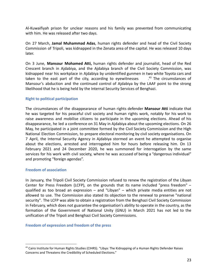Al-Kuwaifiyah prison for unclear reasons and his family was prevented from communicating with him. He was released after two days.

On 27 March, **Jamal Muhammad Adas**, human rights defender and head of the Civil Society Commission of Tripoli, was kidnapped in the Zenata area of the capital. He was released 10 days later.

On 3 June, **Mansour Mohamed Atti,** human rights defender and journalist, head of the Red Crescent branch in Ajdabiya, and the Ajdabiya branch of the Civil Society Commission, was kidnapped near his workplace in Ajdabiya by unidentified gunmen in two white Toyota cars and taken to the east part of the city, according to eyewitnesses  $\frac{43}{3}$  The circumstances of Mansour's abduction and the continued control of Ajdabiya by the LAAF point to the strong likelihood that he is being held by the Internal Security Services of Benghazi.

#### **Right to political participation**

The circumstances of the disappearance of human rights defender **Mansour Atti** indicate that he was targeted for his peaceful civil society and human rights work, notably for his work to raise awareness and mobilise citizens to participate in the upcoming elections. Ahead of his disappearance, he led a conference on 31 May in Ajdabiya about the upcoming elections. On 26 May, he participated in a joint committee formed by the Civil Society Commission and the High National Election Commission, to prepare electoral monitoring by civil society organisations. On 7 April, the Internal Security Agency in Ajdabiya stormed an event he attempted to organise about the elections, arrested and interrogated him for hours before releasing him. On 13 February 2021 and 24 December 2020, he was summoned for interrogation by the same services for his work with civil society, where he was accused of being a "dangerous individual" and promoting "foreign agendas".

#### **Freedom of association**

In January, the Tripoli Civil Society Commission refused to renew the registration of the Libyan Center for Press Freedom (LCFP), on the grounds that its name included "press freedom" – qualified as too broad an expression – and "Libyan" – which private media entities are not allowed to use. The Commission also stated its objection to the renewal to preserve "national security". The LCFP was able to obtain a registration from the Benghazi Civil Society Commission in February, which does not guarantee the organisation's ability to operate in the country, as the formation of the Government of National Unity (GNU) in March 2021 has not led to the unification of the Tripoli and Benghazi Civil Society Commissions.

**Freedom of expression and freedom of the press**

<sup>&</sup>lt;sup>43</sup> Cairo Institute for Human Rights Studies (CIHRS). "Libya: The Kidnapping of a Human Rights Defender Raises Concerns and Threatens the Credibility of Scheduled Elections."